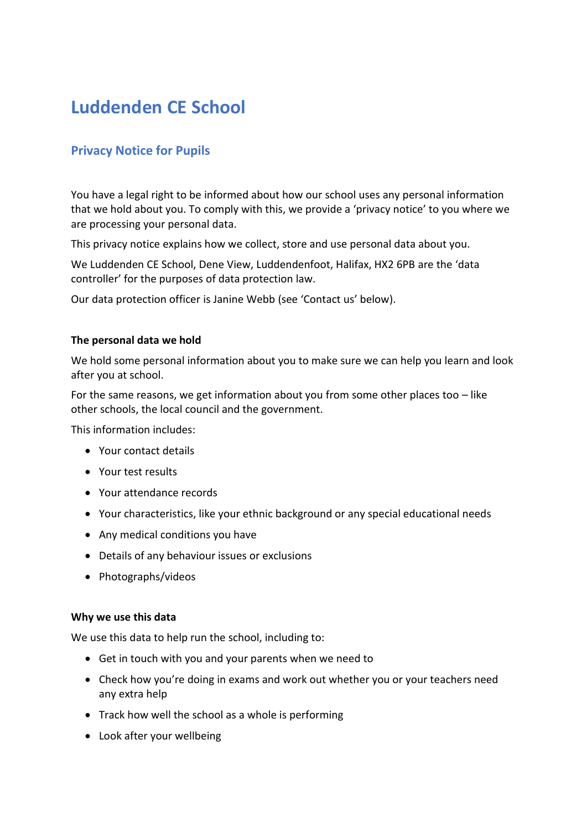# **Luddenden CE School**

# **Privacy Notice for Pupils**

You have a legal right to be informed about how our school uses any personal information that we hold about you. To comply with this, we provide a 'privacy notice' to you where we are processing your personal data.

This privacy notice explains how we collect, store and use personal data about you.

We Luddenden CE School, Dene View, Luddendenfoot, Halifax, HX2 6PB are the 'data controller' for the purposes of data protection law.

Our data protection officer is Janine Webb (see 'Contact us' below).

#### **The personal data we hold**

We hold some personal information about you to make sure we can help you learn and look after you at school.

For the same reasons, we get information about you from some other places too  $-$  like other schools, the local council and the government.

This information includes:

- Your contact details
- Your test results
- Your attendance records
- Your characteristics, like your ethnic background or any special educational needs
- Any medical conditions you have
- Details of any behaviour issues or exclusions
- Photographs/videos

#### **Why we use this data**

We use this data to help run the school, including to:

- Get in touch with you and your parents when we need to
- Check how you're doing in exams and work out whether you or your teachers need any extra help
- Track how well the school as a whole is performing
- Look after your wellbeing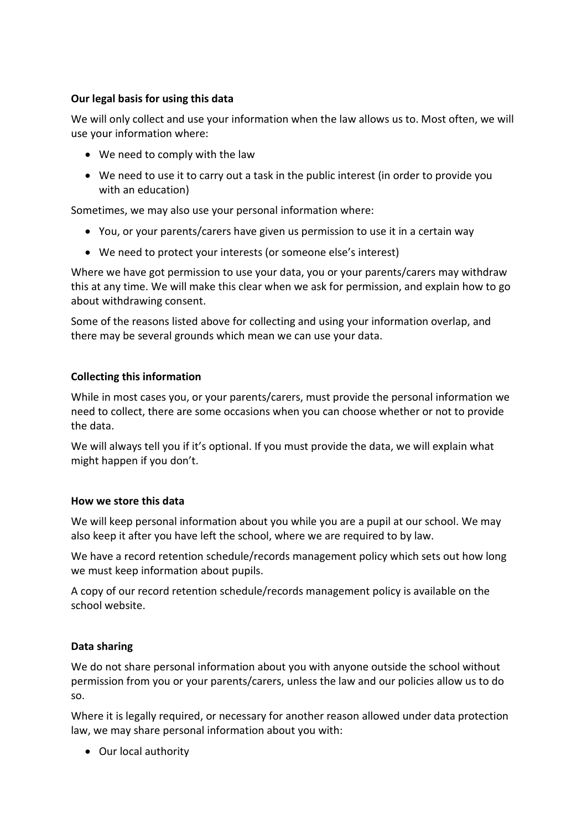# **Our legal basis for using this data**

We will only collect and use your information when the law allows us to. Most often, we will use your information where:

- We need to comply with the law
- We need to use it to carry out a task in the public interest (in order to provide you with an education)

Sometimes, we may also use your personal information where:

- You, or your parents/carers have given us permission to use it in a certain way
- We need to protect your interests (or someone else's interest)

Where we have got permission to use your data, you or your parents/carers may withdraw this at any time. We will make this clear when we ask for permission, and explain how to go about withdrawing consent.

Some of the reasons listed above for collecting and using your information overlap, and there may be several grounds which mean we can use your data.

# **Collecting this information**

While in most cases you, or your parents/carers, must provide the personal information we need to collect, there are some occasions when you can choose whether or not to provide the data.

We will always tell you if it's optional. If you must provide the data, we will explain what might happen if you don't.

#### **How we store this data**

We will keep personal information about you while you are a pupil at our school. We may also keep it after you have left the school, where we are required to by law.

We have a record retention schedule/records management policy which sets out how long we must keep information about pupils.

A copy of our record retention schedule/records management policy is available on the school website.

#### **Data sharing**

We do not share personal information about you with anyone outside the school without permission from you or your parents/carers, unless the law and our policies allow us to do so.

Where it is legally required, or necessary for another reason allowed under data protection law, we may share personal information about you with:

• Our local authority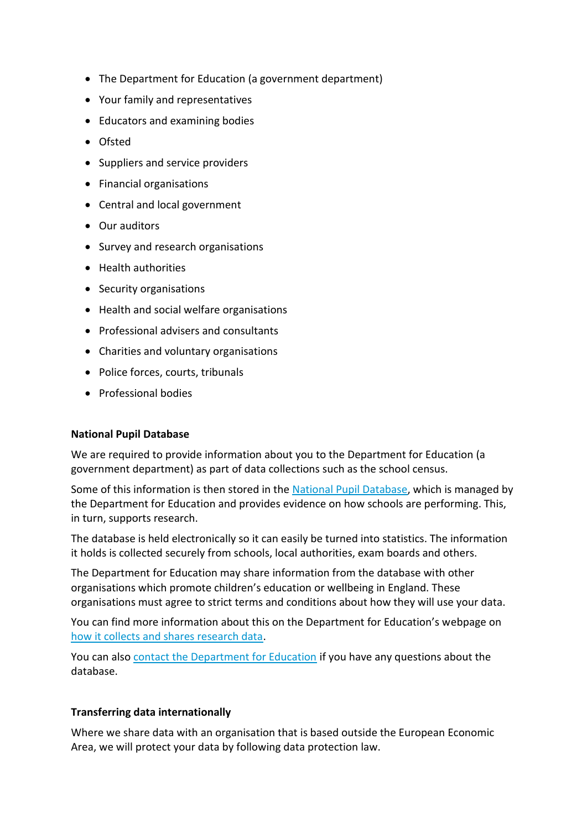- The Department for Education (a government department)
- Your family and representatives
- Educators and examining bodies
- Ofsted
- Suppliers and service providers
- Financial organisations
- Central and local government
- Our auditors
- Survey and research organisations
- Health authorities
- Security organisations
- Health and social welfare organisations
- Professional advisers and consultants
- Charities and voluntary organisations
- Police forces, courts, tribunals
- Professional bodies

#### **National Pupil Database**

We are required to provide information about you to the Department for Education (a government department) as part of data collections such as the school census.

Some of this information is then stored in the [National Pupil Database,](https://www.gov.uk/government/publications/national-pupil-database-user-guide-and-supporting-information) which is managed by the Department for Education and provides evidence on how schools are performing. This, in turn, supports research.

The database is held electronically so it can easily be turned into statistics. The information it holds is collected securely from schools, local authorities, exam boards and others.

The Department for Education may share information from the database with other organisations which promote children's education or wellbeing in England. These organisations must agree to strict terms and conditions about how they will use your data.

You can find more information about this on the Department for Education's webpage on [how it collects and shares research data.](https://www.gov.uk/data-protection-how-we-collect-and-share-research-data)

You can also [contact the Department for Education](https://www.gov.uk/contact-dfe) if you have any questions about the database.

#### **Transferring data internationally**

Where we share data with an organisation that is based outside the European Economic Area, we will protect your data by following data protection law.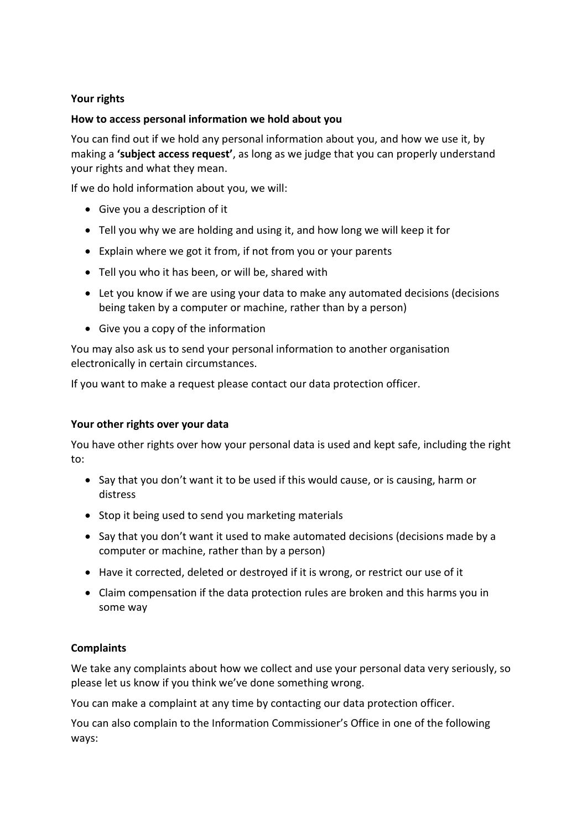# **Your rights**

# **How to access personal information we hold about you**

You can find out if we hold any personal information about you, and how we use it, by making a **'subject access request'**, as long as we judge that you can properly understand your rights and what they mean.

If we do hold information about you, we will:

- Give you a description of it
- Tell you why we are holding and using it, and how long we will keep it for
- Explain where we got it from, if not from you or your parents
- Tell you who it has been, or will be, shared with
- Let you know if we are using your data to make any automated decisions (decisions being taken by a computer or machine, rather than by a person)
- Give you a copy of the information

You may also ask us to send your personal information to another organisation electronically in certain circumstances.

If you want to make a request please contact our data protection officer.

#### **Your other rights over your data**

You have other rights over how your personal data is used and kept safe, including the right to:

- Say that you don't want it to be used if this would cause, or is causing, harm or distress
- Stop it being used to send you marketing materials
- Say that you don't want it used to make automated decisions (decisions made by a computer or machine, rather than by a person)
- Have it corrected, deleted or destroyed if it is wrong, or restrict our use of it
- Claim compensation if the data protection rules are broken and this harms you in some way

# **Complaints**

We take any complaints about how we collect and use your personal data very seriously, so please let us know if you think we've done something wrong.

You can make a complaint at any time by contacting our data protection officer.

You can also complain to the Information Commissioner's Office in one of the following ways: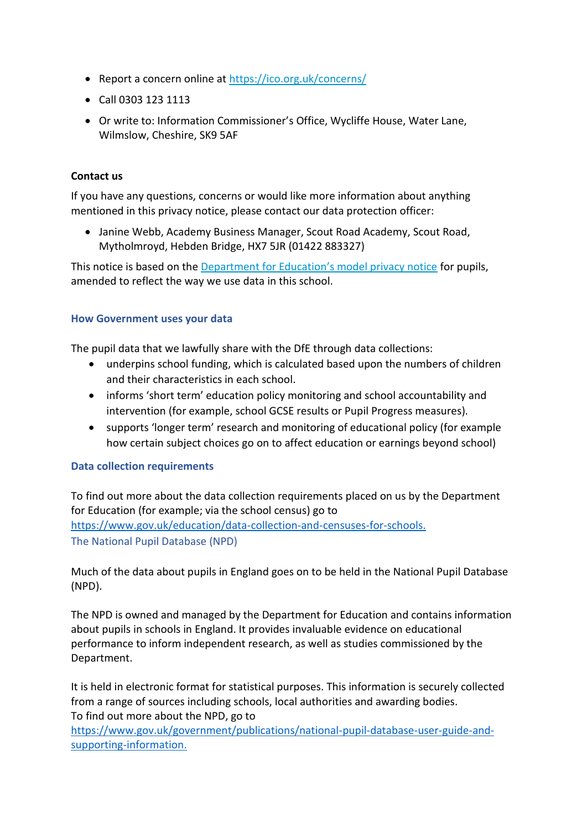- Report a concern online at<https://ico.org.uk/concerns/>
- Call 0303 123 1113
- Or write to: Information Commissioner's Office, Wycliffe House, Water Lane, Wilmslow, Cheshire, SK9 5AF

# **Contact us**

If you have any questions, concerns or would like more information about anything mentioned in this privacy notice, please contact our data protection officer:

• Janine Webb, Academy Business Manager, Scout Road Academy, Scout Road, Mytholmroyd, Hebden Bridge, HX7 5JR (01422 883327)

This notice is based on the [Department for Education's model privacy notice](https://www.gov.uk/government/publications/data-protection-and-privacy-privacy-notices) for pupils, amended to reflect the way we use data in this school.

# **How Government uses your data**

The pupil data that we lawfully share with the DfE through data collections:

- underpins school funding, which is calculated based upon the numbers of children and their characteristics in each school.
- informs 'short term' education policy monitoring and school accountability and intervention (for example, school GCSE results or Pupil Progress measures).
- supports 'longer term' research and monitoring of educational policy (for example how certain subject choices go on to affect education or earnings beyond school)

#### **Data collection requirements**

To find out more about the data collection requirements placed on us by the Department for Education (for example; via the school census) go to [https://www.gov.uk/education/data-collection-and-censuses-for-schools.](https://www.gov.uk/education/data-collection-and-censuses-for-schools) The National Pupil Database (NPD)

Much of the data about pupils in England goes on to be held in the National Pupil Database (NPD).

The NPD is owned and managed by the Department for Education and contains information about pupils in schools in England. It provides invaluable evidence on educational performance to inform independent research, as well as studies commissioned by the Department.

It is held in electronic format for statistical purposes. This information is securely collected from a range of sources including schools, local authorities and awarding bodies. To find out more about the NPD, go to

[https://www.gov.uk/government/publications/national-pupil-database-user-guide-and](https://www.gov.uk/government/publications/national-pupil-database-user-guide-and-supporting-information)[supporting-information.](https://www.gov.uk/government/publications/national-pupil-database-user-guide-and-supporting-information)